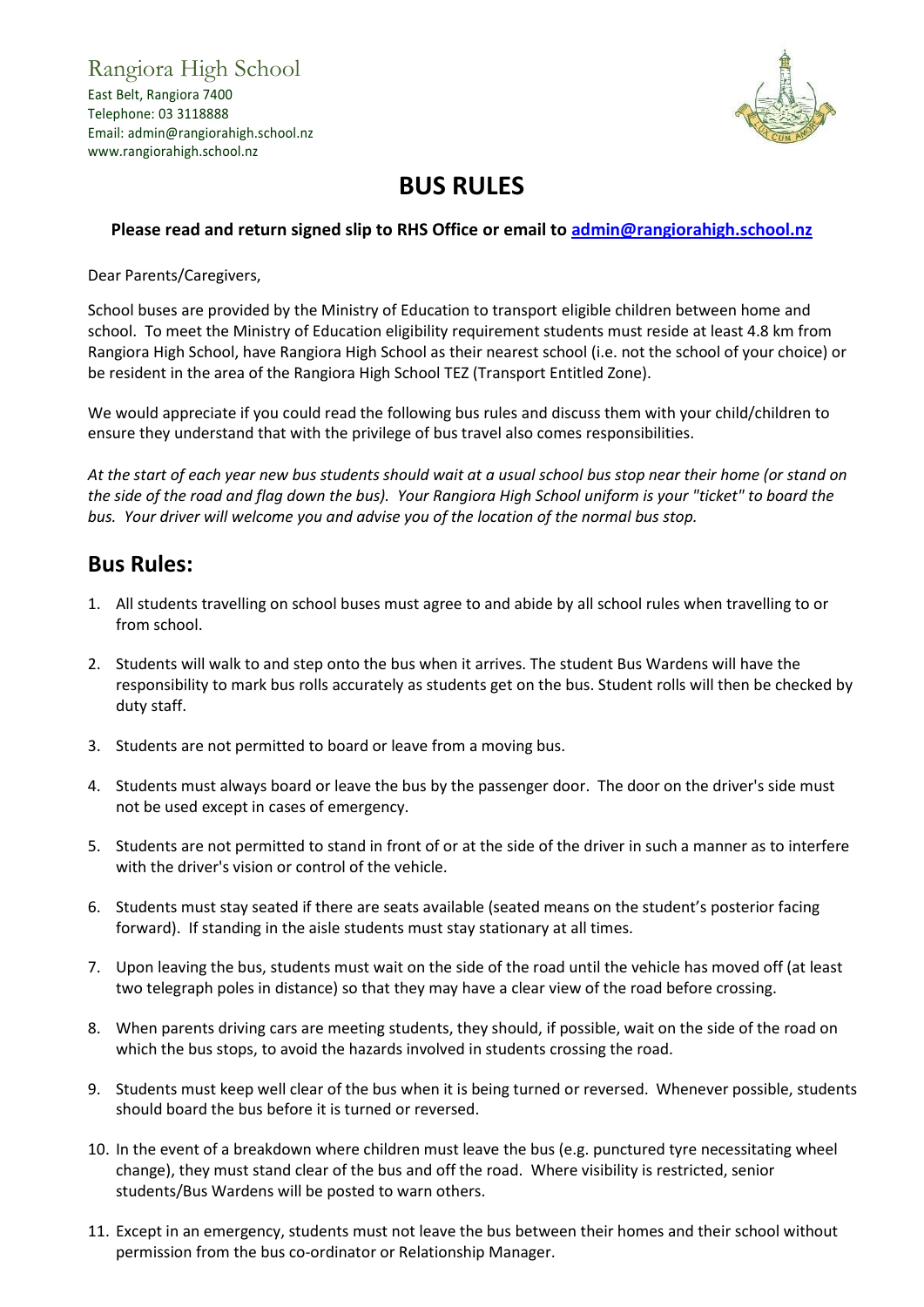Rangiora High School East Belt, Rangiora 7400 Telephone: 03 3118888 Email: admin@rangiorahigh.school.nz www.rangiorahigh.school.nz



## **BUS RULES**

## **Please read and return signed slip to RHS Office or email to [admin@rangiorahigh.school.nz](mailto:admin@rangiorahigh.school.nz)**

Dear Parents/Caregivers,

School buses are provided by the Ministry of Education to transport eligible children between home and school. To meet the Ministry of Education eligibility requirement students must reside at least 4.8 km from Rangiora High School, have Rangiora High School as their nearest school (i.e. not the school of your choice) or be resident in the area of the Rangiora High School TEZ (Transport Entitled Zone).

We would appreciate if you could read the following bus rules and discuss them with your child/children to ensure they understand that with the privilege of bus travel also comes responsibilities.

*At the start of each year new bus students should wait at a usual school bus stop near their home (or stand on the side of the road and flag down the bus). Your Rangiora High School uniform is your "ticket" to board the bus. Your driver will welcome you and advise you of the location of the normal bus stop.*

## **Bus Rules:**

- 1. All students travelling on school buses must agree to and abide by all school rules when travelling to or from school.
- 2. Students will walk to and step onto the bus when it arrives. The student Bus Wardens will have the responsibility to mark bus rolls accurately as students get on the bus. Student rolls will then be checked by duty staff.
- 3. Students are not permitted to board or leave from a moving bus.
- 4. Students must always board or leave the bus by the passenger door. The door on the driver's side must not be used except in cases of emergency.
- 5. Students are not permitted to stand in front of or at the side of the driver in such a manner as to interfere with the driver's vision or control of the vehicle.
- 6. Students must stay seated if there are seats available (seated means on the student's posterior facing forward). If standing in the aisle students must stay stationary at all times.
- 7. Upon leaving the bus, students must wait on the side of the road until the vehicle has moved off (at least two telegraph poles in distance) so that they may have a clear view of the road before crossing.
- 8. When parents driving cars are meeting students, they should, if possible, wait on the side of the road on which the bus stops, to avoid the hazards involved in students crossing the road.
- 9. Students must keep well clear of the bus when it is being turned or reversed. Whenever possible, students should board the bus before it is turned or reversed.
- 10. In the event of a breakdown where children must leave the bus (e.g. punctured tyre necessitating wheel change), they must stand clear of the bus and off the road. Where visibility is restricted, senior students/Bus Wardens will be posted to warn others.
- 11. Except in an emergency, students must not leave the bus between their homes and their school without permission from the bus co-ordinator or Relationship Manager.